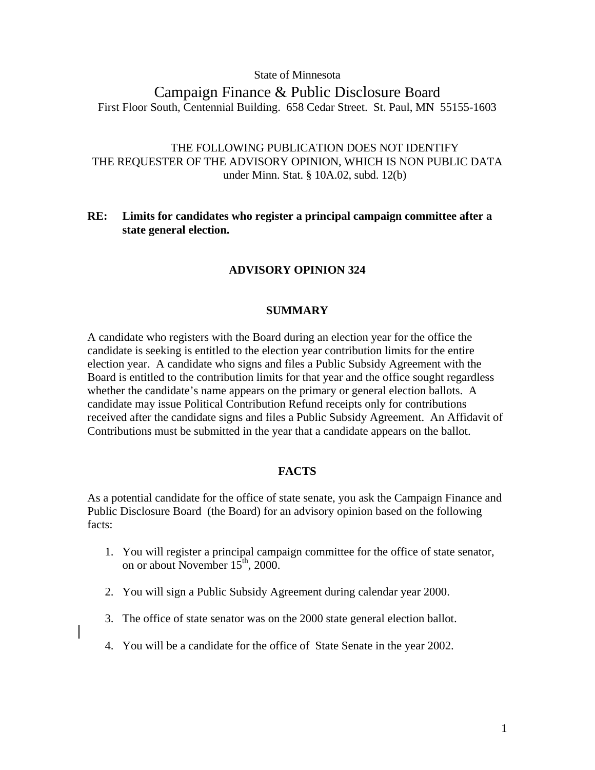#### State of Minnesota

# Campaign Finance & Public Disclosure Board First Floor South, Centennial Building. 658 Cedar Street. St. Paul, MN 55155-1603

# THE FOLLOWING PUBLICATION DOES NOT IDENTIFY THE REQUESTER OF THE ADVISORY OPINION, WHICH IS NON PUBLIC DATA under Minn. Stat. § 10A.02, subd. 12(b)

## **RE: Limits for candidates who register a principal campaign committee after a state general election.**

## **ADVISORY OPINION 324**

## **SUMMARY**

A candidate who registers with the Board during an election year for the office the candidate is seeking is entitled to the election year contribution limits for the entire election year. A candidate who signs and files a Public Subsidy Agreement with the Board is entitled to the contribution limits for that year and the office sought regardless whether the candidate's name appears on the primary or general election ballots. A candidate may issue Political Contribution Refund receipts only for contributions received after the candidate signs and files a Public Subsidy Agreement. An Affidavit of Contributions must be submitted in the year that a candidate appears on the ballot.

## **FACTS**

As a potential candidate for the office of state senate, you ask the Campaign Finance and Public Disclosure Board (the Board) for an advisory opinion based on the following facts:

- 1. You will register a principal campaign committee for the office of state senator, on or about November  $15^{\text{th}}$ , 2000.
- 2. You will sign a Public Subsidy Agreement during calendar year 2000.
- 3. The office of state senator was on the 2000 state general election ballot.
- 4. You will be a candidate for the office of State Senate in the year 2002.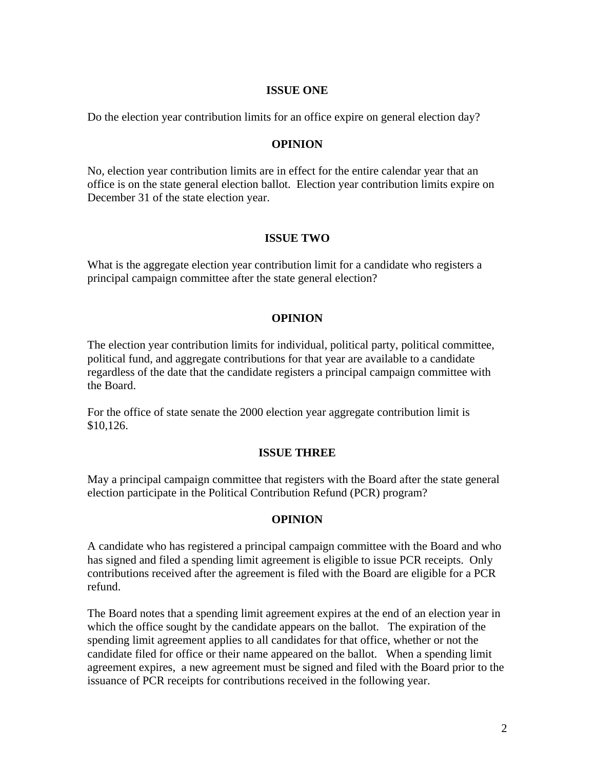## **ISSUE ONE**

Do the election year contribution limits for an office expire on general election day?

## **OPINION**

No, election year contribution limits are in effect for the entire calendar year that an office is on the state general election ballot. Election year contribution limits expire on December 31 of the state election year.

## **ISSUE TWO**

What is the aggregate election year contribution limit for a candidate who registers a principal campaign committee after the state general election?

## **OPINION**

The election year contribution limits for individual, political party, political committee, political fund, and aggregate contributions for that year are available to a candidate regardless of the date that the candidate registers a principal campaign committee with the Board.

For the office of state senate the 2000 election year aggregate contribution limit is \$10,126.

#### **ISSUE THREE**

May a principal campaign committee that registers with the Board after the state general election participate in the Political Contribution Refund (PCR) program?

#### **OPINION**

A candidate who has registered a principal campaign committee with the Board and who has signed and filed a spending limit agreement is eligible to issue PCR receipts. Only contributions received after the agreement is filed with the Board are eligible for a PCR refund.

The Board notes that a spending limit agreement expires at the end of an election year in which the office sought by the candidate appears on the ballot. The expiration of the spending limit agreement applies to all candidates for that office, whether or not the candidate filed for office or their name appeared on the ballot. When a spending limit agreement expires, a new agreement must be signed and filed with the Board prior to the issuance of PCR receipts for contributions received in the following year.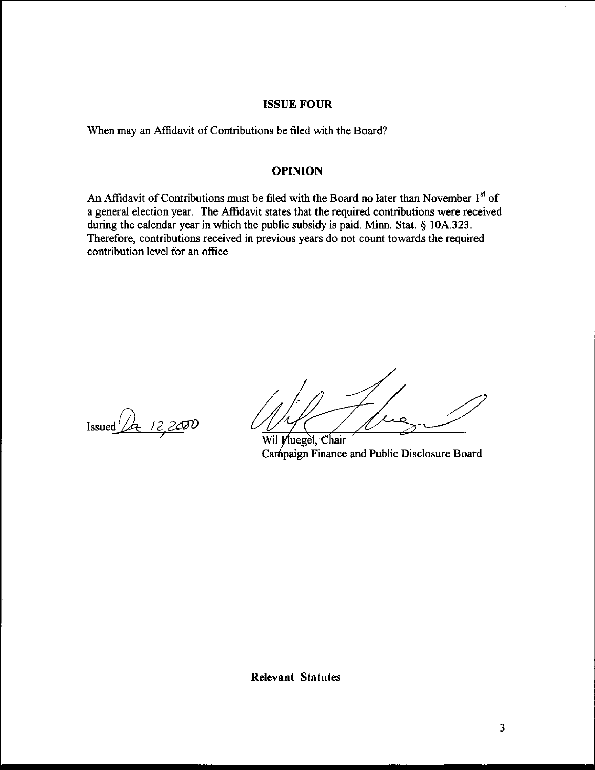## ISSUE FOUR

When may an Affidavit of Contributions be filed with the Board?

#### OPINION

An Affidavit of Contributions must be filed with the Board no later than November 1<sup>st</sup> of a general election year. The Affidavit states that the required contributions were received during the calendar year in which the public subsidy is paid. Minn. Stat. § 10A.323. Therefore, contributions received in previous years do not count towards the required contribution level for an office.

 $\frac{1}{2}$ <br>
Issued  $\frac{1}{2}$   $\frac{2000}{200}$ <br>  $\frac{1}{2}$   $\frac{1}{2}$   $\frac{1}{2}$   $\frac{1}{2}$   $\frac{1}{2}$   $\frac{1}{2}$   $\frac{1}{2}$   $\frac{1}{2}$   $\frac{1}{2}$   $\frac{1}{2}$   $\frac{1}{2}$   $\frac{1}{2}$   $\frac{1}{2}$   $\frac{1}{2}$   $\frac{1}{2}$   $\frac{1}{2}$   $\frac{1}{2}$   $\frac{1}{2$ 

Campaign Finance and Public Disclosure Board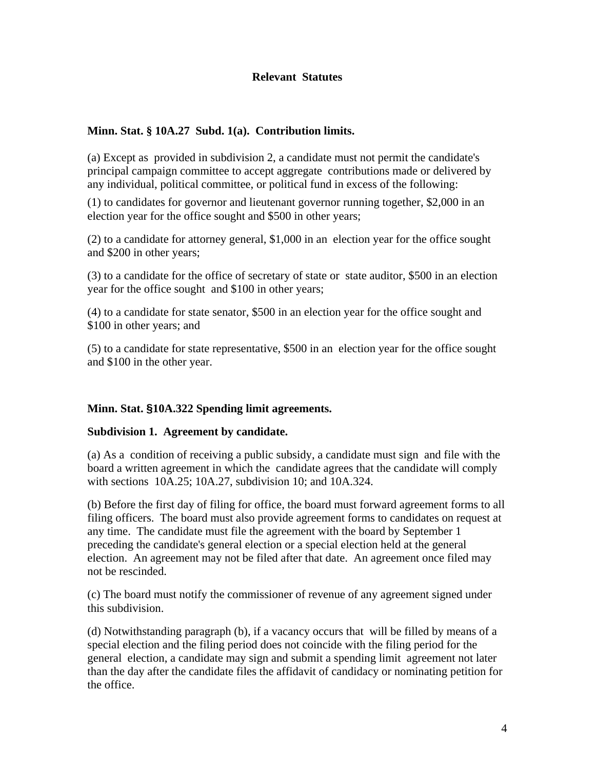## **Relevant Statutes**

## **Minn. Stat. § 10A.27 Subd. 1(a). Contribution limits.**

(a) Except as provided in subdivision 2, a candidate must not permit the candidate's principal campaign committee to accept aggregate contributions made or delivered by any individual, political committee, or political fund in excess of the following:

(1) to candidates for governor and lieutenant governor running together, \$2,000 in an election year for the office sought and \$500 in other years;

(2) to a candidate for attorney general, \$1,000 in an election year for the office sought and \$200 in other years;

(3) to a candidate for the office of secretary of state or state auditor, \$500 in an election year for the office sought and \$100 in other years;

(4) to a candidate for state senator, \$500 in an election year for the office sought and \$100 in other years; and

(5) to a candidate for state representative, \$500 in an election year for the office sought and \$100 in the other year.

# **Minn. Stat. §10A.322 Spending limit agreements.**

## **Subdivision 1. Agreement by candidate.**

(a) As a condition of receiving a public subsidy, a candidate must sign and file with the board a written agreement in which the candidate agrees that the candidate will comply with sections 10A.25; 10A.27, subdivision 10; and 10A.324.

(b) Before the first day of filing for office, the board must forward agreement forms to all filing officers. The board must also provide agreement forms to candidates on request at any time. The candidate must file the agreement with the board by September 1 preceding the candidate's general election or a special election held at the general election. An agreement may not be filed after that date. An agreement once filed may not be rescinded.

(c) The board must notify the commissioner of revenue of any agreement signed under this subdivision.

(d) Notwithstanding paragraph (b), if a vacancy occurs that will be filled by means of a special election and the filing period does not coincide with the filing period for the general election, a candidate may sign and submit a spending limit agreement not later than the day after the candidate files the affidavit of candidacy or nominating petition for the office.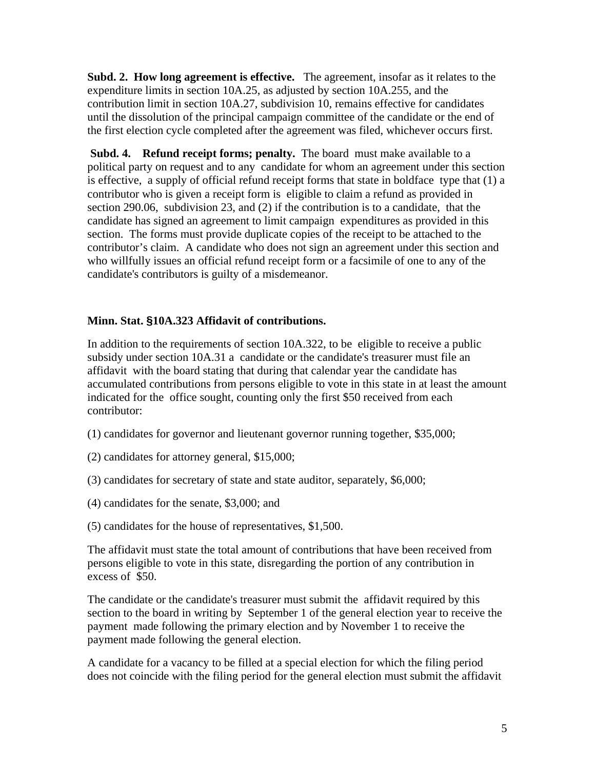**Subd. 2. How long agreement is effective.** The agreement, insofar as it relates to the expenditure limits in section 10A.25, as adjusted by section 10A.255, and the contribution limit in section 10A.27, subdivision 10, remains effective for candidates until the dissolution of the principal campaign committee of the candidate or the end of the first election cycle completed after the agreement was filed, whichever occurs first.

 **Subd. 4. Refund receipt forms; penalty.** The board must make available to a political party on request and to any candidate for whom an agreement under this section is effective, a supply of official refund receipt forms that state in boldface type that (1) a contributor who is given a receipt form is eligible to claim a refund as provided in section 290.06, subdivision 23, and (2) if the contribution is to a candidate, that the candidate has signed an agreement to limit campaign expenditures as provided in this section. The forms must provide duplicate copies of the receipt to be attached to the contributor's claim. A candidate who does not sign an agreement under this section and who willfully issues an official refund receipt form or a facsimile of one to any of the candidate's contributors is guilty of a misdemeanor.

# **Minn. Stat. §10A.323 Affidavit of contributions.**

In addition to the requirements of section 10A.322, to be eligible to receive a public subsidy under section 10A.31 a candidate or the candidate's treasurer must file an affidavit with the board stating that during that calendar year the candidate has accumulated contributions from persons eligible to vote in this state in at least the amount indicated for the office sought, counting only the first \$50 received from each contributor:

- (1) candidates for governor and lieutenant governor running together, \$35,000;
- (2) candidates for attorney general, \$15,000;
- (3) candidates for secretary of state and state auditor, separately, \$6,000;
- (4) candidates for the senate, \$3,000; and
- (5) candidates for the house of representatives, \$1,500.

The affidavit must state the total amount of contributions that have been received from persons eligible to vote in this state, disregarding the portion of any contribution in excess of \$50.

The candidate or the candidate's treasurer must submit the affidavit required by this section to the board in writing by September 1 of the general election year to receive the payment made following the primary election and by November 1 to receive the payment made following the general election.

A candidate for a vacancy to be filled at a special election for which the filing period does not coincide with the filing period for the general election must submit the affidavit